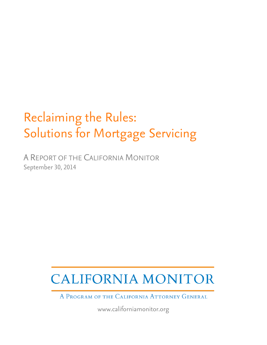# Reclaiming the Rules: Solutions for Mortgage Servicing

A REPORT OF THE CALIFORNIA MONITOR September 30, 2014

# **CALIFORNIA MONITOR**

A PROGRAM OF THE CALIFORNIA ATTORNEY GENERAL

www.californiamonitor.org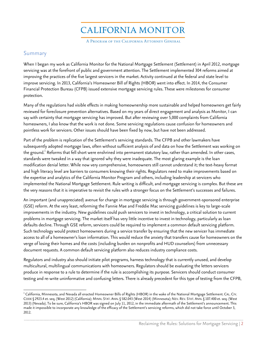**CALIFORNIA MONITOR** 

A PROGRAM OF THE CALIFORNIA ATTORNEY GENERAL

# Summary

When I began my work as California Monitor for the National Mortgage Settlement (Settlement) in April 2012, mortgage servicing was at the forefront of public and government attention. The Settlement implemented 304 reforms aimed at improving the practices of the five largest servicers in the market. Activity continued at the federal and state level to improve servicing. In 2013, California's Homeowner Bill of Rights (HBOR) went into effect. In 2014, the Consumer Financial Protection Bureau (CFPB) issued extensive mortgage servicing rules. These were milestones for consumer protection.

Many of the regulations had visible effects in making homeownership more sustainable and helped homeowners get fairly reviewed for foreclosure prevention alternatives. Based on my years of direct engagement and analysis as Monitor, I can say with certainty that mortgage servicing has improved. But after reviewing over 5,000 complaints from California homeowners, I also know that the work is not done. Some servicing regulations cause confusion for homeowners and pointless work for servicers. Other issues should have been fixed by now, but have not been addressed.

Part of the problem is replication of the Settlement's servicing standards. The CFPB and other lawmakers have subsequently adopted mortgage laws, often without sufficient analysis of and data on how the Settlement was working on the ground.<sup>1</sup> Reforms that fell short were enshrined into permanent statutory law, rather than amended. In other cases, standards were tweaked in a way that ignored why they were inadequate. The most glaring example is the loan modification denial letter. While now very comprehensive, homeowners still cannot understand it; the text-heavy format and high literacy level are barriers to consumers knowing their rights. Regulators need to make improvements based on the expertise and analytics of the California Monitor Program and others, including leadership at servicers who implemented the National Mortgage Settlement. Rule writing is difficult, and mortgage servicing is complex. But these are the very reasons that it is imperative to revisit the rules with a stronger focus on the Settlement's successes and failures.

An important (and unappreciated) avenue for change in mortgage servicing is through government-sponsored enterprise (GSE) reform. At the very least, reforming the Fannie Mae and Freddie Mac servicing guidelines is key to large-scale improvements in the industry. New guidelines could push servicers to invest in technology, a critical solution to current problems in mortgage servicing. The market itself has very little incentive to invest in technology, particularly as loan defaults decline. Through GSE reform, servicers could be required to implement a common default servicing platform. Such technology would protect homeowners during a service transfer by ensuring that the new servicer has immediate access to all of a homeowner's loan information. This would reduce the anxiety that transfers cause for homeowners on the verge of losing their homes and the costs (including burden on nonprofits and HUD counselors) from unnecessary document requests. A common default servicing platform also reduces industry compliance costs.

Regulators and industry also should initiate pilot programs, harness technology that is currently unused, and develop multicultural, multilingual communications with homeowners. Regulators should be evaluating the letters servicers produce in response to a rule to determine if the rule is accomplishing its purpose. Servicers should conduct consumer testing and re-write uninformative and confusing letters. There is already precedent for this type of testing from the CFPB,

 $^1$  California, Minnesota, and Nevada all enacted Homeowner Bills of Rights (HBOR) in the wake of the National Mortgage Settlement. CAL. CIV. CODE § 2923.4 et. seq. (West 2012) (California); MINN. STAT. ANN.§ 582.043 (West 2014) (Minnesota); NEV. REV. STAT. ANN.§ 107.400 et. seq. (West 2013) (Nevada). To be sure, California's HBOR was signed on July 11, 2012, in the immediate aftermath of the Settlement's announcement. This made it impossible to incorporate any knowledge of the efficacy of the Settlement's servicing reforms, which did not take force until October 3, 2012.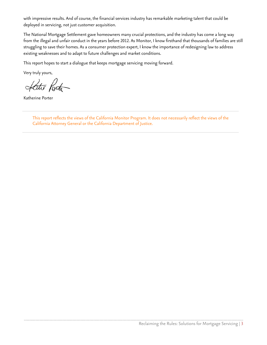with impressive results. And of course, the financial services industry has remarkable marketing talent that could be deployed in servicing, not just customer acquisition.

The National Mortgage Settlement gave homeowners many crucial protections, and the industry has come a long way from the illegal and unfair conduct in the years before 2012. As Monitor, I know firsthand that thousands of families are still struggling to save their homes. As a consumer protection expert, I know the importance of redesigning law to address existing weaknesses and to adapt to future challenges and market conditions.

This report hopes to start a dialogue that keeps mortgage servicing moving forward.

Very truly yours,

Hatte Porta

Katherine Porter

This report reflects the views of the California Monitor Program. It does not necessarily reflect the views of the California Attorney General or the California Department of Justice.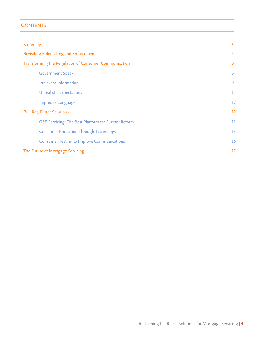# **CONTENTS**

| Summary                                               |                   |
|-------------------------------------------------------|-------------------|
| Revisiting Rulemaking and Enforcement                 |                   |
| Transforming the Regulation of Consumer Communication | 6                 |
| <b>Government Speak</b>                               | 6                 |
| Irrelevant Information                                | 9                 |
| <b>Unrealistic Expectations</b>                       | 11                |
| Imprecise Language                                    | $12 \overline{ }$ |
| <b>Building Better Solutions</b>                      |                   |
| GSE Servicing: The Best Platform for Further Reform   | $12 \overline{ }$ |
| <b>Consumer Protection Through Technology</b>         | 13                |
| <b>Consumer Testing to Improve Communications</b>     | 16                |
| The Future of Mortgage Servicing                      |                   |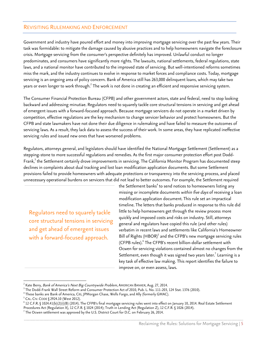## REVISITING RULEMAKING AND ENFORCEMENT

Government and industry have poured effort and money into improving mortgage servicing over the past few years. Their task was formidable: to mitigate the damage caused by abusive practices and to help homeowners navigate the foreclosure crisis. Mortgage servicing from the consumer's perspective definitely has improved. Unlawful conduct no longer predominates, and consumers have significantly more rights. The lawsuits, national settlements, federal regulations, state laws, and a national monitor have contributed to the improved state of servicing. But well-intentioned reforms sometimes miss the mark, and the industry continues to evolve in response to market forces and compliance costs. Today, mortgage servicing is an ongoing area of policy concern. Bank of America still has 263,000 delinquent loans, which may take two years or even longer to work through. $^2$  The work is not done in creating an efficient and responsive servicing system.

The Consumer Financial Protection Bureau (CFPB) and other government actors, state and federal, need to stop looking backward and addressing minutiae. Regulators need to squarely tackle core structural tensions in servicing and get ahead of emergent issues with a forward-focused approach. Because mortgage servicers do not operate in a market driven by competition, effective regulations are the key mechanism to change servicer behavior and protect homeowners. But the CFPB and state lawmakers have not done their due diligence in rulemaking and have failed to measure the outcomes of servicing laws. As a result, they lack data to assess the success of their work. In some areas, they have replicated ineffective servicing rules and issued new ones that have worsened problems.

Regulators, attorneys general, and legislators should have identified the National Mortgage Settlement (Settlement) as a stepping-stone to more successful regulations and remedies. As the first major consumer protection effort post Dodd-Frank,<sup>3</sup> the Settlement certainly drove improvements in servicing. The California Monitor Program has documented steep declines in complaints about dual tracking and lost loan modification application documents. But some Settlement provisions failed to provide homeowners with adequate protections or transparency into the servicing process, and placed unnecessary operational burdens on servicers that did not lead to better outcomes. For example, the Settlement required

Regulators need to squarely tackle core structural tensions in servicing and get ahead of emergent issues with a forward-focused approach.

the Settlement banks<sup>4</sup> to send notices to homeowners listing any missing or incomplete documents within five days of receiving a loan modification application document. This rule set an impractical timeline. The letters that banks produced in response to this rule did little to help homeowners get through the review process more quickly and imposed costs and risks on industry. Still, attorneys general and regulators have copied this rule (and other rules) verbatim in recent laws and settlements like California's Homeowner Bill of Rights (HBOR) $^5$  and the CFPB's new mortgage servicing rules (CFPB rules).<sup>6</sup> The CFPB's recent billion-dollar settlement with Ocwen for servicing violations contained almost no changes from the Settlement, even though it was signed two years later. $^7$  Learning is a key task of effective law making. This report identifies the failure to improve on, or even assess, laws.

<sup>&</sup>lt;sup>2</sup> Kate Berry, *Bank of America's Next Big Countrywide Problem*, AMERICAN BANKER, Aug. 27, 2014.<br><sup>3</sup> The Dodd-Frank Wall Street Reform and Consumer Protection Act of 2010, Pub. L. No. 111-203, 124 Stat. 1376 (2010).<br><sup>4</sup>

<sup>&</sup>lt;sup>6</sup> 12 C.F.R. § 1024.41(b)(2)(i)(B) (2014). The CFPB's final mortgage servicing rules went into effect on January 10, 2014. Real Estate Settlement

Procedures Act (Regulation X), 12 C.F.R. § 1024 (2014); Truth in Lending Act (Regulation Z), 12 C.F.R. § 1026 (2014).<br><sup>7</sup> The Ocwen settlement was approved by the U.S. District Court for D.C. on February 26, 2014.

\_\_\_\_\_\_\_\_\_\_\_\_\_\_\_\_\_\_\_\_\_\_\_\_\_\_\_\_\_\_\_\_\_\_\_\_\_\_\_\_\_\_\_\_\_\_\_\_\_\_\_\_\_\_\_\_\_\_\_\_\_\_\_\_\_\_\_\_\_\_\_\_\_\_\_\_\_\_\_\_\_\_\_\_\_\_\_\_\_\_\_\_\_\_\_\_\_\_\_\_\_\_\_\_\_\_\_\_\_\_\_\_\_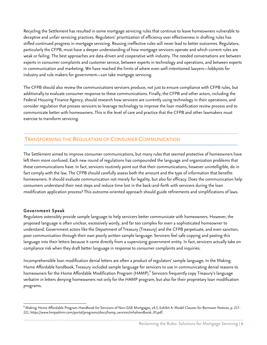Recycling the Settlement has resulted in some mortgage servicing rules that continue to leave homeowners vulnerable to deceptive and unfair servicing practices. Regulators' prioritization of efficiency over effectiveness in drafting rules has stifled continued progress in mortgage servicing. Reusing ineffective rules will never lead to better outcomes. Regulators, particularly the CFPB, must have a deeper understanding of how mortgage servicers operate and which current rules are weak or failing. The best approaches are data-driven and cooperative with industry. The needed conversations are between experts in consumer complaints and customer service, between experts in technology and operations, and between experts in communication and marketing. We have reached the limits of where even well-intentioned lawyers—lobbyists for industry and rule makers for government—can take mortgage servicing.

The CFPB should also review the communications servicers produce, not just to ensure compliance with CFPB rules, but additionally to evaluate consumer response to these communications. Finally, the CFPB and other actors, including the Federal Housing Finance Agency, should research how servicers are currently using technology in their operations, and consider regulation that presses servicers to leverage technology to improve the loan modification review process and to communicate better with homeowners. This is the level of care and practice that the CFPB and other lawmakers must exercise to transform servicing.

# TRANSFORMING THE REGULATION OF CONSUMER COMMUNICATION

The Settlement aimed to improve consumer communications, but many rules that seemed protective of homeowners have left them more confused. Each new round of regulations has compounded the language and organization problems that these communications have. In fact, servicers routinely point out that their communications, however unintelligible, do in fact comply with the law. The CFPB should carefully assess both the amount and the type of information that benefits homeowners. It should evaluate communication not merely for legality, but also for efficacy. Does the communication help consumers understand their next steps and reduce time lost in the back-and-forth with servicers during the loan modification application process? This outcome-oriented approach should guide refinements and simplifications of laws.

### Government Speak

Regulators ostensibly provide sample language to help servicers better communicate with homeowners. However, the proposed language is often unclear, excessively wordy, and far too complex for even a sophisticated homeowner to understand. Government actors like the Department of Treasury (Treasury) and the CFPB perpetuate, and even sanction, poor communication through their own poorly written sample language. Servicers feel safe copying and pasting this language into their letters because it came directly from a supervising government entity. In fact, servicers actually take on compliance risk when they draft better language in response to consumer complaints and inquiries.

Incomprehensible loan modification denial letters are often a product of regulators' sample language. In the Making Home Affordable handbook, Treasury included sample language for servicers to use in communicating denial reasons to homeowners for the Home Affordable Modification Program (HAMP).<sup>8</sup> Servicers frequently copy Treasury's language verbatim in letters denying homeowners not only for the HAMP program, but also for their proprietary loan modification programs.

\_\_\_\_\_\_\_\_\_\_\_\_\_\_\_\_\_\_\_\_\_\_\_\_\_\_\_\_\_\_\_\_\_\_\_\_\_\_\_\_\_\_\_\_\_\_\_\_\_\_\_\_\_\_\_\_\_\_\_\_\_\_\_\_\_\_\_\_\_\_\_\_\_\_\_\_\_\_\_\_\_\_\_\_\_\_\_\_\_\_\_\_\_\_\_\_\_\_\_\_\_\_\_\_\_\_\_\_\_\_\_\_\_ <sup>8</sup> Making Home Affordable Program Handbook for Servicers of Non-GSE Mortgages, v4.3, Exhibit A: Model Clauses for Borrower Notices, p. 217- 221, https://www.hmpadmin.com/portal/programs/docs/hamp\_servicer/mhahandbook\_43.pdf.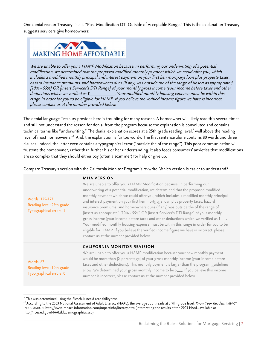One denial reason Treasury lists is "Post Modification DTI Outside of Acceptable Range." This is the explanation Treasury suggests servicers give homeowners:



We are unable to offer you a HAMP Modification because, in performing our underwriting of a potential modification, we determined that the proposed modified monthly payment which we could offer you, which includes a modified monthly principal and interest payment on your first lien mortgage loan plus property taxes, hazard insurance premiums, and homeowners dues (if any) was outside the of the range of [insert as appropriate: ] [10% - 55%] OR [insert Servicer's DTI Range] of your monthly gross income (your income before taxes and other deductions which we verified as \$\_\_\_\_\_\_\_\_\_\_\_. Your modified monthly housing expense must be within this range in order for you to be eligible for HAMP. If you believe the verified income figure we have is incorrect, <sup>p</sup>lease contact us at the number provided below.

The denial language Treasury provides here is troubling for many reasons. A homeowner will likely read this several times and still not understand the reason for denial from the program because the explanation is convoluted and contains technical terms like "underwriting." The denial explanation scores at a 25th grade reading level,<sup>9</sup> well above the reading level of most homeowners.<sup>10</sup> And, the explanation is far too wordy. The first sentence alone contains 80 words and three clauses. Indeed, the letter even contains a typographical error ("outside the of the range"). This poor communication will frustrate the homeowner, rather than further his or her understanding. It also feeds consumers' anxieties that modifications are so complex that they should either pay (often a scammer) for help or give up.

Compare Treasury's version with the California Monitor Program's re-write. Which version is easier to understand?

| Words: 125-127<br>Reading level: 25th grade<br>Typographical errors: 1 | <b>MHA VERSION</b><br>We are unable to offer you a HAMP Modification because, in performing our<br>underwriting of a potential modification, we determined that the proposed modified<br>monthly payment which we could offer you, which includes a modified monthly principal<br>and interest payment on your first lien mortgage loan plus property taxes, hazard<br>insurance premiums, and homeowners dues (if any) was outside the of the range of<br>[insert as appropriate:] [10% - 55%] OR [insert Servicer's DTI Range] of your monthly<br>gross income (your income before taxes and other deductions which we verified as \$<br>Your modified monthly housing expense must be within this range in order for you to be<br>eligible for HAMP. If you believe the verified income figure we have is incorrect, please<br>contact us at the number provided below. |
|------------------------------------------------------------------------|----------------------------------------------------------------------------------------------------------------------------------------------------------------------------------------------------------------------------------------------------------------------------------------------------------------------------------------------------------------------------------------------------------------------------------------------------------------------------------------------------------------------------------------------------------------------------------------------------------------------------------------------------------------------------------------------------------------------------------------------------------------------------------------------------------------------------------------------------------------------------|
| Words: 67<br>Reading level: 10th grade<br>Typographical errors: 0      | <b>CALIFORNIA MONITOR REVISION</b><br>We are unable to offer you a HAMP modification because your new monthly payment<br>would be more than [X percentage] of your gross monthly income (your income before<br>taxes and other deductions). This monthly payment is larger than the program guidelines<br>allow. We determined your gross monthly income to be \$___. If you believe this income<br>number is incorrect, please contact us at the number provided below.                                                                                                                                                                                                                                                                                                                                                                                                   |

 $^9$  This was determined using the Flesch-Kincaid readability test.<br><sup>10</sup> According to the 2003 National Assessment of Adult Literacy (NAAL), the average adult reads at a 9th-grade level. *Know Your Readers*, IMPACT INFORMATION, http://www.impact-information.com/impactinfo/literacy.htm (interpreting the results of the 2003 NAAL, available at http://nces.ed.gov/NAAL/kf\_demographics.asp).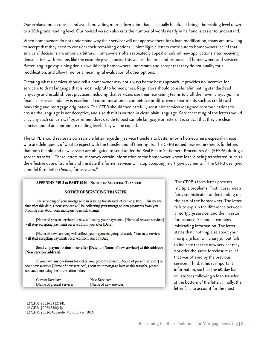Our explanation is concise and avoids providing more information than is actually helpful. It brings the reading level down to a 10th grade reading level. Our revised version also cuts the number of words nearly in half and is easier to understand.

When homeowners do not understand why their servicer will not approve them for a loan modification, many are unwilling to accept that they need to consider their remaining options. Unintelligible letters contribute to homeowners' belief that servicers' decisions are entirely arbitrary. Homeowners often repeatedly appeal or submit new applications after receiving denial letters with reasons like the example given above. This wastes the time and resources of homeowners and servicers. Better language explaining denials would help homeowners understand and accept that they do not qualify for a modification, and allow time for a meaningful evaluation of other options.

Dictating what a servicer should tell a homeowner may not always be the best approach. It provides no incentive for servicers to draft language that is most helpful to homeowners. Regulators should consider eliminating standardized language and establish best practices, including that servicers use their marketing teams to craft their own language. The financial services industry is excellent at communication in competitive profit-driven departments such as credit card marketing and mortgage origination. The CFPB should then carefully scrutinize servicer-designed communications to ensure the language is not deceptive, and also that it is written in clear, plain language. Servicer testing of the letters would allay any such concerns. If government does decide to post sample language or letters, it is critical that they are clear, concise, and of an appropriate reading level. They will be copied.

The CFPB should revise its own sample letter regarding service transfers to better inform homeowners, especially those who are delinquent, of what to expect with the transfer and of their rights. The CFPB issued new requirements for letters that both the old and new servicer are obligated to send under the Real Estate Settlement Procedures Act (RESPA) during a service transfer.<sup>11</sup> These letters must convey certain information to the homeowner whose loan is being transferred, such as the effective date of transfer and the date the former servicer will stop accepting mortgage payments.<sup>12</sup> The CFPB designed a model form letter ( $below$ ) for servicers.<sup>13</sup>

\_\_\_\_\_\_\_\_\_\_\_\_\_\_\_\_\_\_\_\_\_\_\_\_\_\_\_\_\_\_\_\_\_\_\_\_\_\_\_\_\_\_\_\_\_\_\_\_\_\_\_\_\_\_\_\_\_\_\_\_\_\_\_\_\_\_\_\_\_\_\_\_\_\_\_\_\_\_\_\_\_\_\_\_\_\_\_\_\_\_\_\_\_\_\_\_\_\_\_\_\_\_\_\_\_\_\_\_\_\_\_\_\_

#### APPENDIX MS-2 to PART 1024-NOTICE OF SERVICING TRANSFER

#### NOTICE OF SERVICING TRANSFER

The servicing of your mortgage loan is being transferred, effective [Date]. This means that after this date, a new servicer will be collecting your mortgage loan payments from you. Nothing else about your mortgage loan will change.

[Name of present servicer] is now collecting your payments. [Name of present servicer] will stop accepting payments received from you after [Date].

[Name of new servicer] will collect your payments going forward. Your new servicer will start accepting payments received from you on [Date].

#### Send all payments due on or after [Date] to [Name of new servicer] at this address: [New servicer address].

If you have any questions for either your present servicer, [Name of present servicer] or your new servicer [Name of new servicer], about your mortgage loan or this transfer, please contact them using the information below:

**Current Servicer:** New Servicer: [Name of new servicer] [Name of present servicer]

 The CFPB's form letter presents multiple problems. First, it assumes a fairly sophisticated understanding on the part of the homeowner. The letter fails to explain the difference between a mortgage servicer and the investor, for instance. Second, it contains misleading information. The letter states that "nothing else about your mortgage loan will change," but fails to indicate that the new servicer may not offer the same foreclosure relief that was offered by the previous servicer. Third, it hides important information, such as the 60-day ban on late fees following a loan transfer, at the bottom of the letter. Finally, the letter fails to account for the most

 $^{\,11}$  12 C.F.R. § 1024.33 (2014).<br> $^{\,12}$  12 C.F.R. § 1024.33(b)(4).<br><sup>13</sup> 12 C.F.R. § 1024, Appendix MS-2 to Part 1024.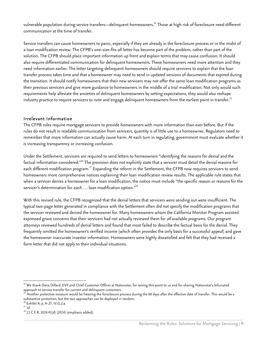vulnerable population during service transfers—delinquent homeowners.<sup>14</sup> Those at high risk of foreclosure need different communication at the time of transfer.

Service transfers can cause homeowners to panic, especially if they are already in the foreclosure process or in the midst of a loan modification review. The CFPB's one-size-fits-all letter has become part of the problem, rather than part of the solution. The CFPB should place important information up front and explain terms that may cause confusion. It should also require differentiated communication for delinquent homeowners. These homeowners need more attention and they need information earlier. The letter targeting delinquent homeowners should require servicers to explain that the loan transfer process takes time and that a homeowner may need to send in updated versions of documents that expired during the transition. It should notify homeowners that their new servicers may not offer the same loan modification programs as their previous servicers and give more guidance to homeowners in the middle of a trial modification. Not only would such requirements help alleviate the anxieties of delinquent homeowners by setting expectations, they would also reshape industry practice to require servicers to note and engage delinquent homeowners from the earliest point in transfer.<sup>15</sup>

## Irrelevant Information

The CFPB rules require mortgage servicers to provide homeowners with more information than ever before. But if the rules do not result in readable communication from servicers, quantity is of little use to a homeowner. Regulators need to remember that more information can actually cause harm. At each turn in regulating, government must evaluate whether it is increasing transparency or increasing confusion.

Under the Settlement, servicers are required to send letters to homeowners "identifying the reasons for denial and the factual information considered."<sup>16</sup> The provision does not explicitly state that a servicer must detail the denial reasons for each different modification program.<sup>17</sup> Expanding the reform in the Settlement, the CFPB now requires servicers to send homeowners more comprehensive notices explaining their loan modification review results. The applicable rule states that when a servicer denies a homeowner for a loan modification, the notice must include "the specific reason or reasons for the servicer's determination for each  $\dots$  loan modification option."<sup>18</sup>

With this revised rule, the CFPB recognized that the denial letters that servicers were sending out were insufficient. The typical two-page letter generated in compliance with the Settlement often did not specify the modification programs that the servicer reviewed and denied the homeowner for. Many homeowners whom the California Monitor Program assisted expressed grave concerns that their servicers had not actually reviewed them for all available programs. Our program attorneys reviewed hundreds of denial letters and found that most failed to describe the factual basis for the denial. They frequently omitted the homeowner's verified income (which often provides the only basis for a successful appeal) and gave the homeowner inaccurate investor information. Homeowners were highly dissatisfied and felt that they had received a form letter that did not apply to their individual situations.

  $^{14}$  We thank Dana Dillard, EVP and Chief Customer Officer at Nationstar, for raising this point to us and for sharing Nationstar's bifurcated approach to service transfer for current and delinquent customers.

<sup>15</sup> Another protective measure would be freezing the foreclosure process during the 60 days after the effective date of transfer. This would be a substantive protection, but the two approaches can be deployed in tandem.<br><sup>16</sup> Exhibit A, p. A-27, IV.G.2.a.

 $17$   $1d$ .<br><sup>18</sup> 12 C.F.R. 1024.41(d) (2014) (emphasis added).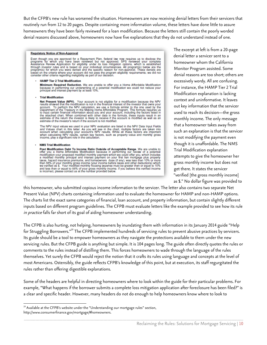But the CFPB's new rule has worsened the situation. Homeowners are now receiving denial letters from their servicers that routinely run from 12 to 20 pages. Despite containing more information volume, these letters have done little to assure homeowners they have been fairly reviewed for a loan modification. Because the letters still contain the poorly worded denial reasons discussed above, homeowners now have five explanations that they do not understand instead of one.

#### **Regulatory Notice of Non-Approval**

Even though you are approved for a Repayment Plan, federal law now requires us to disclose the programs for which you have been reviewed but not approved. SPS reviewed your complete Assistance Review Application for eligib based on the criteria where your account did not pass the program eligibility requirements; we did not<br>consider other criteria regarding ineligibility as part of our decision.

#### **HAMP Tier 2 Trial Modification**

Minimum Required Reduction. We are unable to offer you a Home Affordable Modification because in performing our underwriting of a potential modification we could not reduce your principal and interest payment by at least 10%.

#### **Trial Modification**

The **Present Value (NPV)**. Your account is not eligible for a modification because the NPV<br>results showed that the modification is not in the financial interest of the investor that owns your<br>account. To perform the NPV ca estimate of the investor's return if the account is not modified.

The NPV input values we used in your NPV evaluation are listed in the NPV Data Input Fields and Values chart in this letter. As you will see in the chart, multiple factors are taken into<br>account when calculating your accounts NPV results. While all these factors are taken into<br>when calculating your accounts NPV r

#### **NMS Trial Modification**

Nost Modification Debt To Income Ratio Outside of Acceptable Range. We are unable to Post Modification Debt To Income Ratio Outside of Acceptable Range. We are unable to offer you a Home Affordable Modification because in

 The excerpt at left is from a 20-page denial letter a servicer sent to a homeowner whom the California Monitor Program assisted. Some denial reasons are too short; others are excessively wordy. All are confusing. For instance, the HAMP Tier 2 Trial Modification explanation is lacking context and uninformative. It leaves out key information that the servicer used to reach its decision—the gross monthly income. The only message that a homeowner takes away from such an explanation is that the servicer is not modifying the payment even though it is unaffordable. The NMS Trial Modification explanation attempts to give the homeowner her gross monthly income but does not get there. It states the servicer "verified [the gross monthly income] as \$." No dollar figure was provided to

this homeowner, who submitted copious income information to the servicer. The letter also contains two separate Net Present Value (NPV) charts containing information used to evaluate the homeowner for HAMP and non-HAMP options. The charts list the exact same categories of financial, loan account, and property information, but contain slightly different inputs based on different program guidelines. The CFPB must evaluate letters like the example provided to see how its rule in practice falls far short of its goal of aiding homeowner understanding.

The CFPB is also hurting, not helping, homeowners by inundating them with information in its January 2014 guide "Help for Struggling Borrowers."<sup>19</sup> The CFPB implemented hundreds of servicing rules to prevent abusive practices by servicers. Its guide should be a tool to empower homeowners as they navigate the protections available to them under the new servicing rules. But the CFPB guide is anything but simple. It is 104 pages long. The guide often directly quotes the rules or comments to the rules instead of distilling them. This forces homeowners to wade through the language of the rules themselves. Yet surely the CFPB would reject the notion that it crafts its rules using language and concepts at the level of most Americans. Ostensibly, the guide reflects CFPB's knowledge of this point, but at execution, its staff regurgitated the rules rather than offering digestible explanations.

Some of the headers are helpful in directing homeowners where to look within the guide for their particular problems. For example, "What happens if the borrower submits a complete loss mitigation application after foreclosure has been filed?" is a clear and specific header. However, many headers do not do enough to help homeowners know where to look to

<sup>&</sup>lt;sup>19</sup> Available at the CFPB's website under the "Understanding our mortgage rules" section, http://www.consumerfinance.gov/mortgage/#homeowners.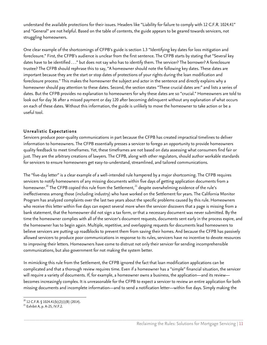understand the available protections for their issues. Headers like "Liability for failure to comply with 12 C.F.R. 1024.41" and "General" are not helpful. Based on the table of contents, the guide appears to be geared towards servicers, not struggling homeowners.

One clear example of the shortcomings of CFPB's guide is section 1.3 "Identifying key dates for loss mitigation and foreclosure." First, the CFPB's audience is unclear from the first sentence. The CFPB starts by stating that "Several key dates have to be identified . . ." but does not say who has to identify them. The servicer? The borrower? A foreclosure trustee? The CFPB should rephrase this to say, "A homeowner should note the following key dates. These dates are important because they are the start or stop dates of protections of your rights during the loan modification and foreclosure process." This makes the homeowner the subject and actor in the sentence and directly explains why a homeowner should pay attention to these dates. Second, the section states "These crucial dates are:" and lists a series of dates. But the CFPB provides no explanation to homeowners for why these dates are so "crucial." Homeowners are told to look out for day 36 after a missed payment or day 120 after becoming delinquent without any explanation of what occurs on each of these dates. Without this information, the guide is unlikely to move the homeowner to take action or be a useful tool.

## Unrealistic Expectations

Servicers produce poor-quality communications in part because the CFPB has created impractical timelines to deliver information to homeowners. The CFPB essentially presses a servicer to forego an opportunity to provide homeowners quality feedback to meet timeframes. Yet, these timeframes are not based on data assessing what consumers find fair or just. They are the arbitrary creations of lawyers. The CFPB, along with other regulators, should author workable standards for servicers to ensure homeowners get easy-to-understand, streamlined, and tailored communications.

The "five-day letter" is a clear example of a well-intended rule hampered by a major shortcoming. The CFPB requires servicers to notify homeowners of any missing documents within five days of getting application documents from a homeowner.<sup>20</sup> The CFPB copied this rule from the Settlement,<sup>21</sup> despite overwhelming evidence of the rule's ineffectiveness among those (including industry) who have worked on the Settlement for years. The California Monitor Program has analyzed complaints over the last two years about the specific problems caused by this rule. Homeowners who receive this letter within five days can expect several more when the servicer discovers that a page is missing from a bank statement, that the homeowner did not sign a tax form, or that a necessary document was never submitted. By the time the homeowner complies with all of the servicer's document requests, documents sent early in the process expire, and the homeowner has to begin again. Multiple, repetitive, and overlapping requests for documents lead homeowners to believe servicers are putting up roadblocks to prevent them from saving their homes. And because the CFPB has passively allowed servicers to produce poor communications in response to its rules, servicers have no incentive to devote resources to improving their letters. Homeowners have come to distrust not only their servicer for sending incomprehensible communications, but also government for not making the system better.

In mimicking this rule from the Settlement, the CFPB ignored the fact that loan modification applications can be complicated and that a thorough review requires time. Even if a homeowner has a "simple" financial situation, the servicer will require a variety of documents. If, for example, a homeowner owns a business, the application—and its review becomes increasingly complex. It is unreasonable for the CFPB to expect a servicer to review an entire application for both missing documents and incomplete information—and to send a notification letter—within five days. Simply making the

<sup>&</sup>lt;sup>20</sup> 12 C.F.R. § 1024.41(b)(2)(i)(B) (2014).<br><sup>21</sup> Exhibit A, p. A-25, IV.F.2.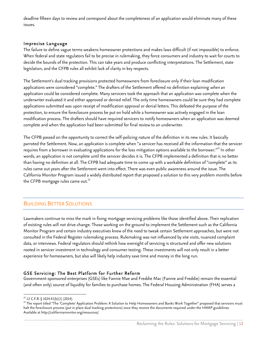deadline fifteen days to review and correspond about the completeness of an application would eliminate many of these issues.

## Imprecise Language

The failure to define vague terms weakens homeowner protections and makes laws difficult (if not impossible) to enforce. When federal and state regulators fail to be precise in rulemaking, they force consumers and industry to wait for courts to decide the bounds of the protection. This can take years and produce conflicting interpretations. The Settlement, state legislation, and the CFPB rules all exhibit lack of clarity in key respects.

The Settlement's dual tracking provisions protected homeowners from foreclosure only if their loan modification applications were considered "complete." The drafters of the Settlement offered no definition explaining when an application could be considered complete. Many servicers took the approach that an application was complete when the underwriter evaluated it and either approved or denied relief. The only time homeowners could be sure they had complete applications submitted was upon receipt of modification approval or denial letters. This defeated the purpose of the protection, to ensure the foreclosure process be put on hold while a homeowner was actively engaged in the loan modification process. The drafters should have required servicers to notify homeowners when an application was deemed complete and when the application had been submitted for final review to an underwriter.

The CFPB passed on the opportunity to correct the self-policing nature of the definition in its new rules. It basically parroted the Settlement. Now, an application is complete when "a servicer has received all the information that the servicer requires from a borrower in evaluating applications for the loss mitigation options available to the borrower."<sup>22</sup> In other words, an application is not complete until the servicer decides it is. The CFPB implemented a definition that is no better than having no definition at all. The CFPB had adequate time to come up with a workable definition of "complete" as its rules came out years after the Settlement went into effect. There was even public awareness around the issue. The California Monitor Program issued a widely distributed report that proposed a solution to this very problem months before the CFPB mortgage rules came out. $^{23}$ 

# BUILDING BETTER SOLUTIONS

Lawmakers continue to miss the mark in fixing mortgage servicing problems like those identified above. Their replication of existing rules will not drive change. Those working on the ground to implement the Settlement such as the California Monitor Program and certain industry executives knew of the need to tweak certain Settlement approaches, but were not consulted in the Federal Register rulemaking process. Rulemaking was not influenced by site visits, nuanced complaint data, or interviews. Federal regulators should rethink how oversight of servicing is structured and offer new solutions rooted in servicer investment in technology and consumer testing. These investments will not only result in a better experience for homeowners, but also will likely help industry save time and money in the long run.

## GSE Servicing: The Best Platform for Further Reform

Government-sponsored enterprises (GSEs) like Fannie Mae and Freddie Mac (Fannie and Freddie) remain the essential (and often only) source of liquidity for families to purchase homes. The Federal Housing Administration (FHA) serves a

 

 $\frac{22}{212}$  C.F.R. § 1024.41(b)(1) (2014).<br>23 The report titled "The 'Complete' Application Problem: A Solution to Help Homeowners and Banks Work Together" proposed that servicers must halt the foreclosure process (put in place dual tracking protections) once they receive the documents required under the HAMP guidelines. Available at http://californiamonitor.org/resources/.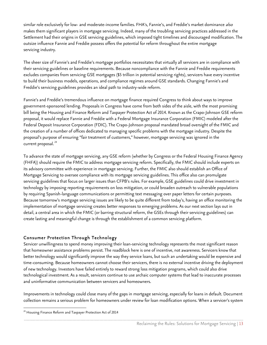similar role exclusively for low- and moderate-income families. FHA's, Fannie's, and Freddie's market dominance also makes them significant players in mortgage servicing. Indeed, many of the troubling servicing practices addressed in the Settlement had their origins in GSE servicing guidelines, which imposed tight timelines and discouraged modification. The outsize influence Fannie and Freddie possess offers the potential for reform throughout the entire mortgage servicing industry.

The sheer size of Fannie's and Freddie's mortgage portfolios necessitates that virtually all servicers are in compliance with their servicing guidelines or baseline requirements. Because noncompliance with the Fannie and Freddie requirements excludes companies from servicing GSE mortgages (\$5 trillion in potential servicing rights), servicers have every incentive to build their business models, operations, and compliance regimes around GSE standards. Changing Fannie's and Freddie's servicing guidelines provides an ideal path to industry-wide reform.

Fannie's and Freddie's tremendous influence on mortgage finance required Congress to think about ways to improve government-sponsored lending. Proposals in Congress have come from both sides of the aisle, with the most promising bill being the Housing and Finance Reform and Taxpayer Protection Act of 2014. Known as the Crapo-Johnson GSE reform proposal, it would replace Fannie and Freddie with a Federal Mortgage Insurance Corporation (FMIC) modeled after the Federal Deposit Insurance Corporation (FDIC). The Crapo-Johnson proposal mandated broad oversight of the FMIC and the creation of a number of offices dedicated to managing specific problems with the mortgage industry. Despite the proposal's purpose of ensuring "fair treatment of customers," however, mortgage servicing was ignored in the current proposal. 24

To advance the state of mortgage servicing, any GSE reform (whether by Congress or the Federal Housing Finance Agency (FHFA)) should require the FMIC to address mortgage servicing reform. Specifically, the FMIC should include experts on its advisory committee with experience in mortgage servicing. Further, the FMIC also should establish an Office of Mortgage Servicing to oversee compliance with its mortgage servicing guidelines. This office also can promulgate servicing guidelines that focus on larger issues than CFPB's rules. For example, GSE guidelines could drive investment in technology by imposing reporting requirements on loss mitigation, or could broaden outreach to vulnerable populations by requiring Spanish-language communications or permitting text messaging over paper letters for certain purposes. Because tomorrow's mortgage servicing issues are likely to be quite different from today's, having an office monitoring the implementation of mortgage servicing creates better responses to emerging problems. As our next section lays out in detail, a central area in which the FMIC (or barring structural reform, the GSEs through their servicing guidelines) can create lasting and meaningful change is through the establishment of a common servicing platform.

## Consumer Protection Through Technology

Servicer unwillingness to spend money improving their loan-servicing technology represents the most significant reason that homeowner assistance problems persist. The roadblock here is one of incentive, not awareness. Servicers know that better technology would significantly improve the way they service loans, but such an undertaking would be expensive and time-consuming. Because homeowners cannot choose their servicers, there is no external incentive driving the deployment of new technology. Investors have failed entirely to reward strong loss mitigation programs, which could also drive technological investment. As a result, servicers continue to use archaic computer systems that lead to inaccurate processes and uninformative communication between servicers and homeowners.

Improvements in technology could close many of the gaps in mortgage servicing, especially for loans in default. Document collection remains a serious problem for homeowners under review for loan modification options. When a servicer's system

 $24$  Housing Finance Reform and Taxpayer Protection Act of 2014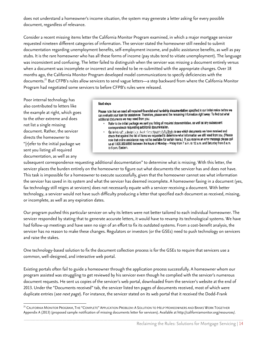does not understand a homeowner's income situation, the system may generate a letter asking for every possible document, regardless of relevance.

Consider a recent missing items letter the California Monitor Program examined, in which a major mortgage servicer requested nineteen different categories of information. The servicer stated the homeowner still needed to submit documentation regarding unemployment benefits, self-employment income, and public assistance benefits, as well as pay stubs. It is the rare homeowner who has all these forms of income (pay stubs tend to vitiate unemployment). The language was inconsistent and confusing. The letter failed to distinguish when the servicer was missing a document entirely versus when a document was incomplete or incorrect and needed to be re-submitted with the appropriate changes. Over 18 months ago, the California Monitor Program developed model communications to specify deficiencies with the documents.25 But CFPB's rules allow servicers to send vague letters—a step backward from where the California Monitor Program had negotiated some servicers to before CFPB's rules were released.

Poor internal technology has also contributed to letters like the example at right, which goes to the other extreme and does not list a single missing document. Rather, the servicer directs the homeowner to "[r]efer to the initial package we sent you listing all required documentation, as well as any

#### Next steps

Please note that we need all required financial and hardship documentation specified in our initial notice before we can evaluate your loan for assistance. Therefore, please send the remaining information right away. To find out what additional documents we may need from you:

- · Refer to the initial package we sent you listing all required documentation, as well as any subsequent correspondence requesting additional documentation.
- Go to http://www.hardpressign.banker/angrica.graph.fla./loulu to see which documents we have received and check that against the list of items we requested to determine what information we still need from you. (Please note that online assistance may not be available for certain loans.) If you receive an error message please call us at 1.800.669.6650 between the hours of Monday - Friday from 7 a.m. to 12 a.m. and Saturday from 8 a.m. to 6 p.m. Eastern.

subsequent correspondence requesting additional documentation" to determine what is missing. With this letter, the servicer places the burden entirely on the homeowner to figure out what documents the servicer has and does not have. This task is impossible for a homeowner to execute successfully, given that the homeowner cannot see what information the servicer has saved in its system and what the servicer has deemed incomplete. A homeowner faxing in a document (yes, fax technology still reigns at servicers) does not necessarily equate with a servicer receiving a document. With better technology, a servicer would not have such difficulty producing a letter that specified each document as received, missing, or incomplete, as well as any expiration dates.

Our program pushed this particular servicer on why its letters were not better tailored to each individual homeowner. The servicer responded by stating that to generate accurate letters, it would have to revamp its technological systems. We have had follow-up meetings and have seen no sign of an effort to fix its outdated systems. From a cost-benefit analysis, the servicer has no reason to make these changes. Regulators or investors (or the GSEs) need to push technology on servicers and raise the stakes.

One technology-based solution to fix the document collection process is for the GSEs to require that servicers use a common, well-designed, and interactive web portal.

Existing portals often fail to guide a homeowner through the application process successfully. A homeowner whom our program assisted was struggling to get reviewed by his servicer even though he complied with the servicer's numerous document requests. He sent us copies of the servicer's web portal, downloaded from the servicer's website at the end of 2013. Under the "Documents received" tab, the servicer listed ten pages of documents received, most of which were duplicate entries (see next page). For instance, the servicer stated on its web portal that it received the Dodd-Frank

<sup>&</sup>lt;sup>25</sup> California Monitor Program, The "Complete" Application Problem: A Solution to Help Homeowners and Banks Work Together Appendix A (2013) (proposed sample notification of missing documents letter for servicers). Available at http://californiamonitor.org/resources/.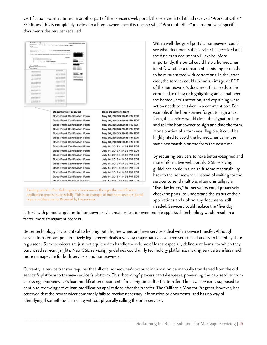Certification Form 35 times. In another part of the servicer's web portal, the servicer listed it had received "Workout Other" 350 times. This is completely useless to a homeowner since it is unclear what "Workout Other" means and what specific documents the servicer received.



Existing portals often fail to guide a homeowner through the modification application process successfully. This is an example of one homeowner's portal report on Documents Received by the servicer.

With a well-designed portal a homeowner could see what documents the servicer has received and the date each document will expire. More importantly, the portal could help a homeowner identify whether a document is missing or needs to be re-submitted with corrections. In the latter case, the servicer could upload an image or PDF of the homeowner's document that needs to be corrected, circling or highlighting areas that need the homeowner's attention, and explaining what action needs to be taken in a comment box. For example, if the homeowner forgot to sign a tax form, the servicer would circle the signature line and tell the homeowner to sign and date the form. If one portion of a form was illegible, it could be highlighted to avoid the homeowner using the same penmanship on the form the next time.

By requiring servicers to have better-designed and more informative web portals, GSE servicing guidelines could in turn shift some responsibility back to the homeowner. Instead of waiting for the servicer to send multiple, often unintelligible "five-day letters," homeowners could proactively check the portal to understand the status of their applications and upload any documents still needed. Servicers could replace the "five-day

letters" with periodic updates to homeowners via email or text (or even mobile app). Such technology would result in a faster, more transparent process.

Better technology is also critical to helping both homeowners and new servicers deal with a service transfer. Although service transfers are presumptively legal, recent deals involving major banks have been scrutinized and even halted by state regulators. Some servicers are just not equipped to handle the volume of loans, especially delinquent loans, for which they purchased servicing rights. New GSE servicing guidelines could unify technology platforms, making service transfers much more manageable for both servicers and homeowners.

Currently, a service transfer requires that all of a homeowner's account information be manually transferred from the old servicer's platform to the new servicer's platform. This "boarding" process can take weeks, preventing the new servicer from accessing a homeowner's loan modification documents for a long time after the transfer. The new servicer is supposed to continue reviewing active loan modification applications after the transfer. The California Monitor Program, however, has observed that the new servicer commonly fails to receive necessary information or documents, and has no way of identifying if something is missing without physically calling the prior servicer.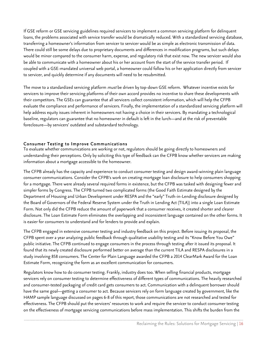If GSE reform or GSE servicing guidelines required servicers to implement a common servicing platform for delinquent loans, the problems associated with service transfer would be dramatically reduced. With a standardized servicing database, transferring a homeowner's information from servicer to servicer would be as simple as electronic transmission of data. There could still be some delays due to proprietary documents and differences in modification programs, but such delays would be minor compared to the consumer harm, expense, and regulatory risk that exist now. The new servicer would also be able to communicate with a homeowner about his or her account from the start of the service transfer period. If coupled with a GSE-mandated universal web portal, a homeowner could follow his or her application directly from servicer to servicer, and quickly determine if any documents will need to be resubmitted.

The move to a standardized servicing platform *must* be driven by top-down GSE reform. Whatever incentive exists for servicers to improve their servicing platforms of their own accord provides no incentive to share these developments with their competitors. The GSEs can guarantee that all servicers collect consistent information, which will help the CFPB evaluate the compliance and performance of servicers. Finally, the implementation of a standardized servicing platform will help address equity issues inherent in homeowners not having a choice in their servicers. By mandating a technological baseline, regulators can guarantee that no homeowner in default is left in the lurch—and at the risk of preventable foreclosure—by servicers' outdated and substandard technology.

## Consumer Testing to Improve Communications

To evaluate whether communications are working or not, regulators should be going directly to homeowners and understanding their perceptions. Only by soliciting this type of feedback can the CFPB know whether servicers are making information about a mortgage accessible to the homeowner.

The CFPB already has the capacity and experience to conduct consumer testing and design award-winning plain language consumer communications. Consider the CFPB's work on creating mortgage loan disclosure to help consumers shopping for a mortgage. There were already several required forms in existence, but the CFPB was tasked with designing fewer and simpler forms by Congress. The CFPB turned two complicated forms (the Good Faith Estimate designed by the Department of Housing and Urban Development under RESPA and the "early" Truth-in-Lending disclosure designed by the Board of Governors of the Federal Reserve System under the Truth in Lending Act (TILA)) into a single Loan Estimate Form. Not only did the CFPB reduce the amount of paperwork that a consumer receives, it created shorter and clearer disclosure. The Loan Estimate Form eliminates the overlapping and inconsistent language contained on the other forms. It is easier for consumers to understand and for lenders to provide and explain.

The CFPB engaged in extensive consumer testing and industry feedback on this project. Before issuing its proposal, the CFPB spent over a year analyzing public feedback through qualitative usability testing and its "Know Before You Owe" public initiative. The CFPB continued to engage consumers in the process through testing after it issued its proposal. It found that its newly created disclosure performed better on average than the current TILA and RESPA disclosures in a study involving 858 consumers. The Center for Plain Language awarded the CFPB a 2014 ClearMark Award for the Loan Estimate Form, recognizing the form as an excellent communication for consumers.

Regulators know how to do consumer testing. Frankly, industry does too. When selling financial products, mortgage servicers rely on consumer testing to determine effectiveness of different types of communications. The heavily researched and consumer-tested packaging of credit card gets consumers to act. Communication with a delinquent borrower should have the same goal—getting a consumer to act. Because servicers rely on form language created by government, like the HAMP sample language discussed on pages 6-8 of this report, those communications are not researched and tested for effectiveness. The CFPB should put the servicers' resources to work and require the servicer to conduct consumer testing on the effectiveness of mortgage servicing communications before mass implementation. This shifts the burden from the